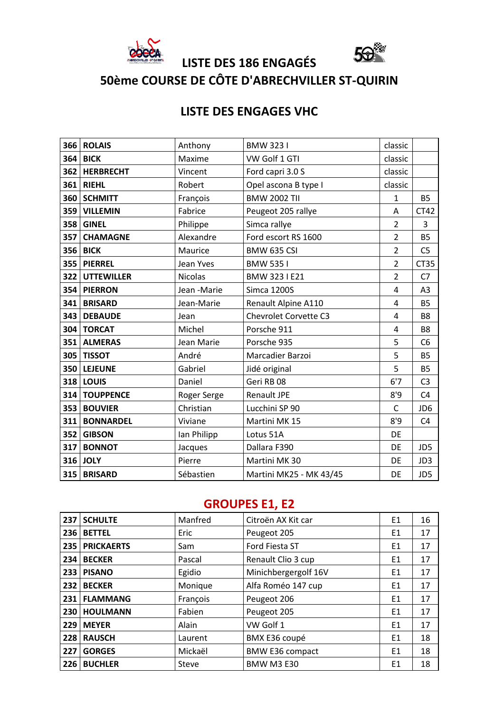

**50ème COURSE DE CÔTE D'ABRECHVILLER ST-QUIRIN**

**LISTE DES 186 ENGAGÉS** 

# **LISTE DES ENGAGES VHC**

|     | 366 ROLAIS       | Anthony        | <b>BMW 3231</b>              | classic        |                |
|-----|------------------|----------------|------------------------------|----------------|----------------|
| 364 | <b>BICK</b>      | Maxime         | VW Golf 1 GTI                | classic        |                |
|     | 362   HERBRECHT  | Vincent        | Ford capri 3.0 S             | classic        |                |
| 361 | <b>RIEHL</b>     | Robert         | Opel ascona B type I         | classic        |                |
|     | 360 SCHMITT      | François       | <b>BMW 2002 TII</b>          | 1              | <b>B5</b>      |
|     | 359 VILLEMIN     | Fabrice        | Peugeot 205 rallye           | A              | CT42           |
|     | 358 GINEL        | Philippe       | Simca rallye                 | $\overline{2}$ | 3              |
| 357 | <b>CHAMAGNE</b>  | Alexandre      | Ford escort RS 1600          | $\overline{2}$ | <b>B5</b>      |
|     | <b>356 BICK</b>  | Maurice        | <b>BMW 635 CSI</b>           | $\overline{2}$ | C <sub>5</sub> |
|     | 355 PIERREL      | Jean Yves      | <b>BMW 5351</b>              | $\overline{2}$ | <b>CT35</b>    |
|     | 322 UTTEWILLER   | <b>Nicolas</b> | BMW 323 I E21                | $\overline{2}$ | C <sub>7</sub> |
|     | 354 PIERRON      | Jean -Marie    | <b>Simca 1200S</b>           | 4              | A <sub>3</sub> |
| 341 | <b>BRISARD</b>   | Jean-Marie     | Renault Alpine A110          | 4              | <b>B5</b>      |
| 343 | <b>DEBAUDE</b>   | Jean           | <b>Chevrolet Corvette C3</b> | 4              | <b>B8</b>      |
|     | 304   TORCAT     | Michel         | Porsche 911                  | 4              | <b>B8</b>      |
|     | 351 ALMERAS      | Jean Marie     | Porsche 935                  | 5              | C <sub>6</sub> |
|     | 305 TISSOT       | André          | Marcadier Barzoi             | 5              | <b>B5</b>      |
|     | 350 LEJEUNE      | Gabriel        | Jidé original                | 5              | <b>B5</b>      |
|     | 318 LOUIS        | Daniel         | Geri RB 08                   | 6'7            | C <sub>3</sub> |
|     | 314   TOUPPENCE  | Roger Serge    | <b>Renault JPE</b>           | 8'9            | C <sub>4</sub> |
|     | 353 BOUVIER      | Christian      | Lucchini SP 90               | C              | JD6            |
| 311 | <b>BONNARDEL</b> | Viviane        | Martini MK 15                | 8'9            | C <sub>4</sub> |
| 352 | <b>GIBSON</b>    | lan Philipp    | Lotus 51A                    | DE             |                |
|     | 317 BONNOT       | Jacques        | Dallara F390                 | DE             | JD5            |
|     | 316 JOLY         | Pierre         | Martini MK 30                | DE             | JD3            |
|     | 315 BRISARD      | Sébastien      | Martini MK25 - MK 43/45      | DE             | JD5            |

# **GROUPES E1, E2**

| 237 | <b>SCHULTE</b>    | Manfred  | Citroën AX Kit car     | E1 | 16 |
|-----|-------------------|----------|------------------------|----|----|
| 236 | <b>BETTEL</b>     | Eric     | Peugeot 205            | E1 | 17 |
| 235 | <b>PRICKAERTS</b> | Sam      | Ford Fiesta ST         | E1 | 17 |
| 234 | <b>BECKER</b>     | Pascal   | Renault Clio 3 cup     | E1 | 17 |
| 233 | <b>PISANO</b>     | Egidio   | Minichbergergolf 16V   | E1 | 17 |
| 232 | <b>BECKER</b>     | Monique  | Alfa Roméo 147 cup     | E1 | 17 |
| 231 | <b>FLAMMANG</b>   | François | Peugeot 206            | E1 | 17 |
| 230 | <b>HOULMANN</b>   | Fabien   | Peugeot 205            | E1 | 17 |
| 229 | <b>MEYER</b>      | Alain    | VW Golf 1              | E1 | 17 |
| 228 | <b>RAUSCH</b>     | Laurent  | BMX E36 coupé          | E1 | 18 |
| 227 | <b>GORGES</b>     | Mickaël  | <b>BMW E36 compact</b> | E1 | 18 |
| 226 | <b>BUCHLER</b>    | Steve    | <b>BMW M3 E30</b>      | E1 | 18 |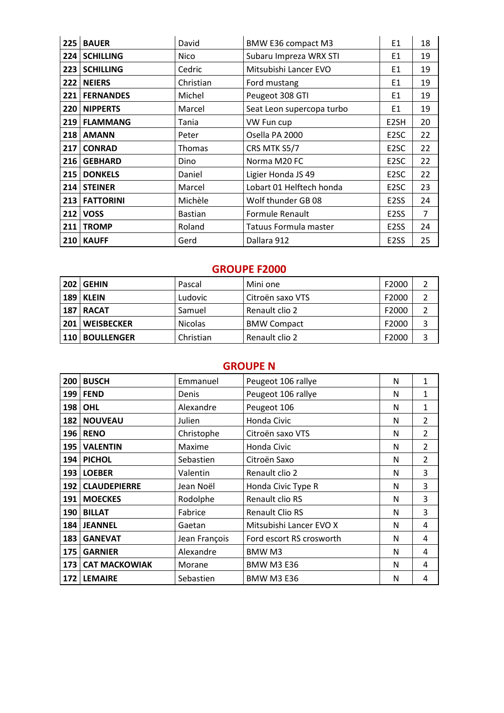| 225 | <b>BAUER</b>     | David          | BMW E36 compact M3        | E1                | 18 |
|-----|------------------|----------------|---------------------------|-------------------|----|
| 224 | <b>SCHILLING</b> | <b>Nico</b>    | Subaru Impreza WRX STI    | E1                | 19 |
| 223 | <b>SCHILLING</b> | Cedric         | Mitsubishi Lancer EVO     | E1                | 19 |
| 222 | <b>NEIERS</b>    | Christian      | Ford mustang              | E1                | 19 |
| 221 | <b>FERNANDES</b> | Michel         | Peugeot 308 GTI           | E1                | 19 |
| 220 | <b>NIPPERTS</b>  | Marcel         | Seat Leon supercopa turbo | E1                | 19 |
| 219 | <b>FLAMMANG</b>  | Tania          | VW Fun cup                | E <sub>2</sub> SH | 20 |
| 218 | <b>AMANN</b>     | Peter          | Osella PA 2000            | E <sub>2</sub> SC | 22 |
| 217 | <b>CONRAD</b>    | Thomas         | CRS MTK S5/7              | E <sub>2</sub> SC | 22 |
| 216 | <b>GEBHARD</b>   | Dino           | Norma M20 FC              | E <sub>2</sub> SC | 22 |
| 215 | <b>DONKELS</b>   | Daniel         | Ligier Honda JS 49        | E <sub>2</sub> SC | 22 |
| 214 | <b>STEINER</b>   | Marcel         | Lobart 01 Helftech honda  | E <sub>2</sub> SC | 23 |
| 213 | <b>FATTORINI</b> | Michèle        | Wolf thunder GB 08        | E <sub>2</sub> SS | 24 |
| 212 | <b>VOSS</b>      | <b>Bastian</b> | Formule Renault           | E <sub>2</sub> SS | 7  |
| 211 | <b>TROMP</b>     | Roland         | Tatuus Formula master     | E <sub>2</sub> SS | 24 |
| 210 | <b>KAUFF</b>     | Gerd           | Dallara 912               | E <sub>2</sub> SS | 25 |

#### **GROUPE F2000**

| 202        | <b>GEHIN</b>      | Pascal         | Mini one           | F2000 |  |
|------------|-------------------|----------------|--------------------|-------|--|
|            | 189   KLEIN       | Ludovic        | Citroën saxo VTS   | F2000 |  |
|            | 187   RACAT       | Samuel         | Renault clio 2     | F2000 |  |
| 201        | <b>WEISBECKER</b> | <b>Nicolas</b> | <b>BMW Compact</b> | F2000 |  |
| <b>110</b> | <b>BOULLENGER</b> | Christian      | Renault clio 2     | F2000 |  |

# **GROUPE N**

| 200 | <b>BUSCH</b>         | Emmanuel      | Peugeot 106 rallye       | N | 1              |
|-----|----------------------|---------------|--------------------------|---|----------------|
| 199 | <b>FEND</b>          | Denis         | Peugeot 106 rallye       | N | 1              |
| 198 | <b>OHL</b>           | Alexandre     | Peugeot 106              | N | 1              |
| 182 | <b>NOUVEAU</b>       | Julien        | Honda Civic              | N | $\mathcal{P}$  |
| 196 | <b>RENO</b>          | Christophe    | Citroën saxo VTS         | N | $\overline{2}$ |
| 195 | <b>VALENTIN</b>      | Maxime        | Honda Civic              | N | 2              |
| 194 | <b>PICHOL</b>        | Sebastien     | Citroën Saxo             | N | $\mathcal{P}$  |
| 193 | <b>LOEBER</b>        | Valentin      | Renault clio 2           | N | 3              |
| 192 | <b>CLAUDEPIERRE</b>  | Jean Noël     | Honda Civic Type R       | N | 3              |
| 191 | <b>MOECKES</b>       | Rodolphe      | Renault clio RS          | N | 3              |
| 190 | <b>BILLAT</b>        | Fabrice       | <b>Renault Clio RS</b>   | N | 3              |
|     | 184 JEANNEL          | Gaetan        | Mitsubishi Lancer EVO X  | N | 4              |
| 183 | <b>GANEVAT</b>       | Jean François | Ford escort RS crosworth | N | 4              |
| 175 | <b>GARNIER</b>       | Alexandre     | BMW M3                   | N | 4              |
| 173 | <b>CAT MACKOWIAK</b> | Morane        | <b>BMW M3 E36</b>        | N | 4              |
| 172 | <b>LEMAIRE</b>       | Sebastien     | <b>BMW M3 E36</b>        | N | 4              |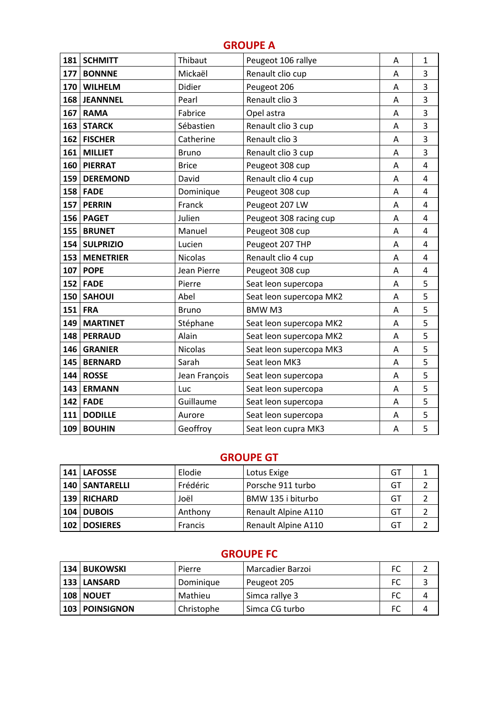### **GROUPE A**

| 181 | <b>SCHMITT</b>   | Thibaut        | Peugeot 106 rallye      | Α | $\mathbf{1}$            |
|-----|------------------|----------------|-------------------------|---|-------------------------|
| 177 | <b>BONNNE</b>    | Mickaël        | Renault clio cup        | Α | 3                       |
| 170 | <b>WILHELM</b>   | Didier         | Peugeot 206             | Α | 3                       |
| 168 | <b>JEANNNEL</b>  | Pearl          | Renault clio 3          | Α | 3                       |
| 167 | <b>RAMA</b>      | Fabrice        | Opel astra              | Α | 3                       |
| 163 | <b>STARCK</b>    | Sébastien      | Renault clio 3 cup      | Α | 3                       |
| 162 | <b>FISCHER</b>   | Catherine      | Renault clio 3          | Α | 3                       |
| 161 | <b>MILLIET</b>   | <b>Bruno</b>   | Renault clio 3 cup      | Α | 3                       |
| 160 | <b>PIERRAT</b>   | <b>Brice</b>   | Peugeot 308 cup         | Α | 4                       |
| 159 | <b>DEREMOND</b>  | David          | Renault clio 4 cup      | Α | 4                       |
| 158 | <b>FADE</b>      | Dominique      | Peugeot 308 cup         | Α | 4                       |
| 157 | <b>PERRIN</b>    | Franck         | Peugeot 207 LW          | A | 4                       |
| 156 | <b>PAGET</b>     | Julien         | Peugeot 308 racing cup  | Α | 4                       |
| 155 | <b>BRUNET</b>    | Manuel         | Peugeot 308 cup         | A | $\overline{\mathbf{4}}$ |
| 154 | <b>SULPRIZIO</b> | Lucien         | Peugeot 207 THP         | A | 4                       |
| 153 | <b>MENETRIER</b> | <b>Nicolas</b> | Renault clio 4 cup      | A | 4                       |
| 107 | <b>POPE</b>      | Jean Pierre    | Peugeot 308 cup         | Α | 4                       |
| 152 | <b>FADE</b>      | Pierre         | Seat leon supercopa     | Α | 5                       |
| 150 | <b>SAHOUI</b>    | Abel           | Seat leon supercopa MK2 | A | 5                       |
| 151 | <b>FRA</b>       | <b>Bruno</b>   | <b>BMWM3</b>            | Α | 5                       |
| 149 | <b>MARTINET</b>  | Stéphane       | Seat leon supercopa MK2 | A | 5                       |
| 148 | <b>PERRAUD</b>   | Alain          | Seat leon supercopa MK2 | A | 5                       |
| 146 | <b>GRANIER</b>   | <b>Nicolas</b> | Seat leon supercopa MK3 | Α | 5                       |
| 145 | <b>BERNARD</b>   | Sarah          | Seat leon MK3           | A | 5                       |
| 144 | <b>ROSSE</b>     | Jean François  | Seat leon supercopa     | Α | 5                       |
| 143 | <b>ERMANN</b>    | Luc            | Seat leon supercopa     | Α | 5                       |
| 142 | <b>FADE</b>      | Guillaume      | Seat leon supercopa     | A | 5                       |
| 111 | <b>DODILLE</b>   | Aurore         | Seat leon supercopa     | A | 5                       |
| 109 | <b>BOUHIN</b>    | Geoffroy       | Seat leon cupra MK3     | Α | 5                       |

### **GROUPE GT**

| 141 LAFOSSE       | Elodie   | Lotus Exige         | GT |  |
|-------------------|----------|---------------------|----|--|
| 140   SANTARELLI  | Frédéric | Porsche 911 turbo   | GT |  |
| 139   RICHARD     | Joël     | BMW 135 i biturbo   | GT |  |
| <b>104 DUBOIS</b> | Anthony  | Renault Alpine A110 | GT |  |
| 102   DOSIERES    | Francis  | Renault Alpine A110 | GT |  |

## **GROUPE FC**

| 134 | <b>BUKOWSKI</b>    | Pierre     | Marcadier Barzoi | FC |  |
|-----|--------------------|------------|------------------|----|--|
|     | 133 LANSARD        | Dominique  | Peugeot 205      | FC |  |
|     | <b>108   NOUET</b> | Mathieu    | Simca rallye 3   | FC |  |
|     | 103   POINSIGNON   | Christophe | Simca CG turbo   | FC |  |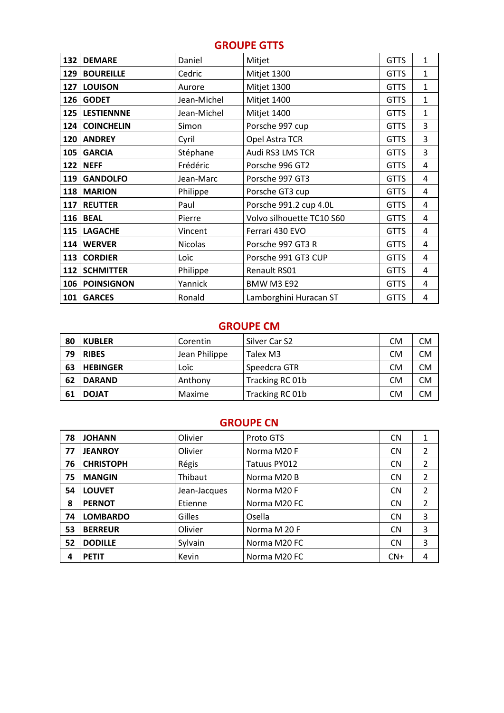# **GROUPE GTTS**

| 132 | <b>DEMARE</b>     | Daniel         | Mitjet                    | <b>GTTS</b> | 1 |
|-----|-------------------|----------------|---------------------------|-------------|---|
| 129 | <b>BOUREILLE</b>  | Cedric         | Mitjet 1300               | <b>GTTS</b> | 1 |
| 127 | <b>LOUISON</b>    | Aurore         | Mitjet 1300               | <b>GTTS</b> | 1 |
| 126 | <b>GODET</b>      | Jean-Michel    | Mitjet 1400               | <b>GTTS</b> | 1 |
| 125 | <b>LESTIENNNE</b> | Jean-Michel    | Mitjet 1400               | <b>GTTS</b> | 1 |
| 124 | <b>COINCHELIN</b> | Simon          | Porsche 997 cup           | <b>GTTS</b> | 3 |
| 120 | <b>ANDREY</b>     | Cyril          | Opel Astra TCR            | <b>GTTS</b> | 3 |
| 105 | <b>GARCIA</b>     | Stéphane       | Audi RS3 LMS TCR          | <b>GTTS</b> | 3 |
| 122 | <b>NEFF</b>       | Frédéric       | Porsche 996 GT2           | <b>GTTS</b> | 4 |
| 119 | <b>GANDOLFO</b>   | Jean-Marc      | Porsche 997 GT3           | <b>GTTS</b> | 4 |
| 118 | <b>MARION</b>     | Philippe       | Porsche GT3 cup           | <b>GTTS</b> | 4 |
| 117 | <b>REUTTER</b>    | Paul           | Porsche 991.2 cup 4.0L    | <b>GTTS</b> | 4 |
| 116 | <b>BEAL</b>       | Pierre         | Volvo silhouette TC10 S60 | <b>GTTS</b> | 4 |
| 115 | <b>LAGACHE</b>    | Vincent        | Ferrari 430 EVO           | <b>GTTS</b> | 4 |
| 114 | <b>WERVER</b>     | <b>Nicolas</b> | Porsche 997 GT3 R         | <b>GTTS</b> | 4 |
| 113 | <b>CORDIER</b>    | Loïc           | Porsche 991 GT3 CUP       | <b>GTTS</b> | 4 |
| 112 | <b>SCHMITTER</b>  | Philippe       | Renault RS01              | <b>GTTS</b> | 4 |
| 106 | <b>POINSIGNON</b> | Yannick        | <b>BMW M3 E92</b>         | <b>GTTS</b> | 4 |
| 101 | <b>GARCES</b>     | Ronald         | Lamborghini Huracan ST    | <b>GTTS</b> | 4 |

### **GROUPE CM**

| 80 | <b>KUBLER</b>   | Corentin      | Silver Car S2   | <b>CM</b> | <b>CM</b> |
|----|-----------------|---------------|-----------------|-----------|-----------|
| 79 | <b>RIBES</b>    | Jean Philippe | Talex M3        | <b>CM</b> | <b>CM</b> |
| 63 | <b>HEBINGER</b> | Loïc          | Speedcra GTR    | <b>CM</b> | <b>CM</b> |
| 62 | <b>DARAND</b>   | Anthony       | Tracking RC 01b | <b>CM</b> | <b>CM</b> |
| 61 | <b>DOJAT</b>    | Maxime        | Tracking RC 01b | СM        | <b>CM</b> |

#### **GROUPE CN**

| 78 | <b>JOHANN</b>    | Olivier      | Proto GTS    | <b>CN</b> |   |
|----|------------------|--------------|--------------|-----------|---|
| 77 | <b>JEANROY</b>   | Olivier      | Norma M20 F  | <b>CN</b> | 2 |
| 76 | <b>CHRISTOPH</b> | Régis        | Tatuus PY012 | <b>CN</b> | 2 |
| 75 | <b>MANGIN</b>    | Thibaut      | Norma M20 B  | <b>CN</b> | 2 |
| 54 | <b>LOUVET</b>    | Jean-Jacques | Norma M20 F  | <b>CN</b> | 2 |
| 8  | <b>PERNOT</b>    | Etienne      | Norma M20 FC | <b>CN</b> | 2 |
| 74 | <b>LOMBARDO</b>  | Gilles       | Osella       | <b>CN</b> | 3 |
| 53 | <b>BERREUR</b>   | Olivier      | Norma M 20 F | <b>CN</b> | 3 |
| 52 | <b>DODILLE</b>   | Sylvain      | Norma M20 FC | <b>CN</b> | 3 |
| 4  | <b>PETIT</b>     | Kevin        | Norma M20 FC | $CN+$     | 4 |